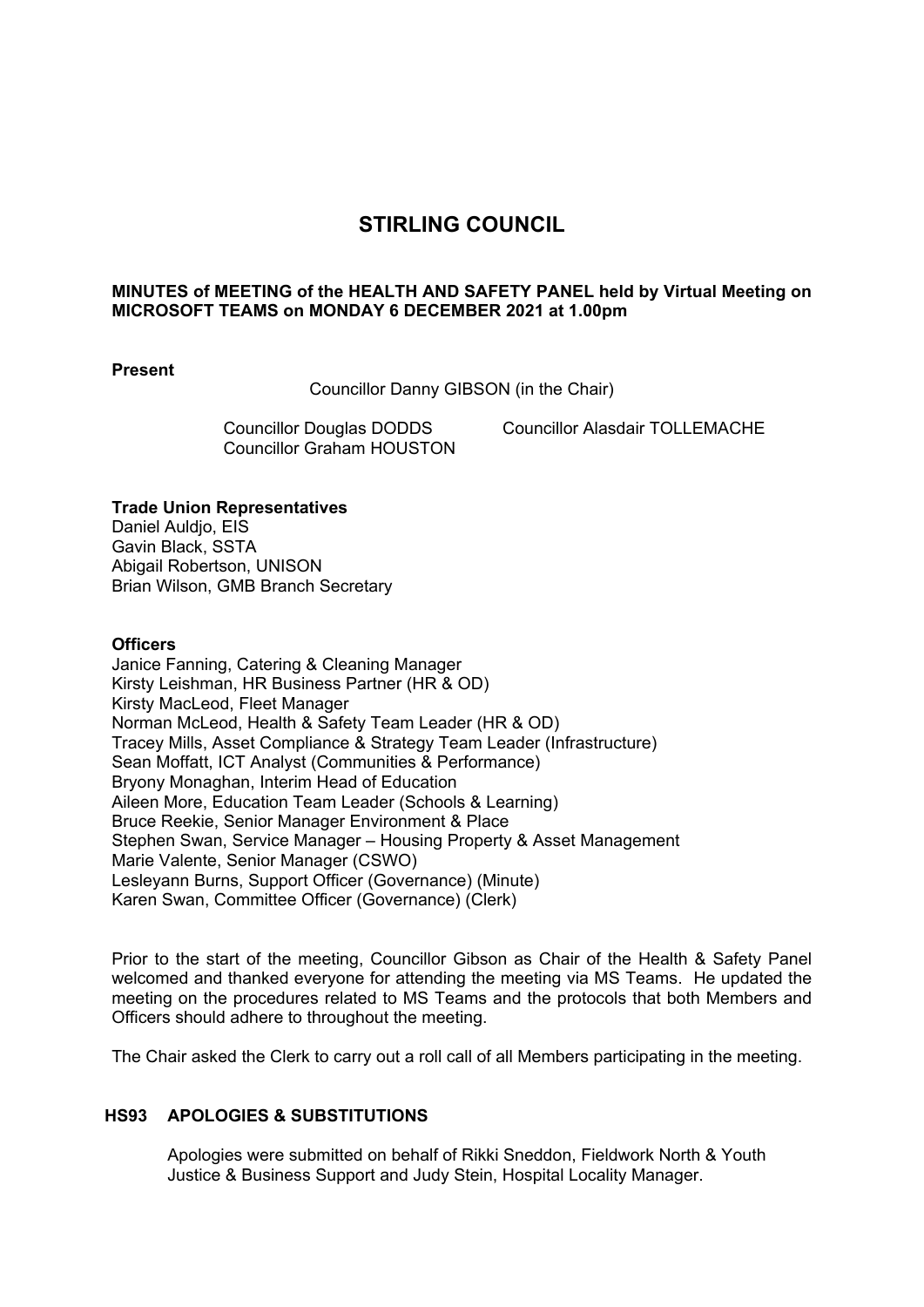# **STIRLING COUNCIL**

# **MINUTES of MEETING of the HEALTH AND SAFETY PANEL held by Virtual Meeting on MICROSOFT TEAMS on MONDAY 6 DECEMBER 2021 at 1.00pm**

### **Present**

Councillor Danny GIBSON (in the Chair)

Councillor Graham HOUSTON

Councillor Douglas DODDS Councillor Alasdair TOLLEMACHE

# **Trade Union Representatives**

Daniel Auldio, EIS Gavin Black, SSTA Abigail Robertson, UNISON Brian Wilson, GMB Branch Secretary

# **Officers**

Janice Fanning, Catering & Cleaning Manager Kirsty Leishman, HR Business Partner (HR & OD) Kirsty MacLeod, Fleet Manager Norman McLeod, Health & Safety Team Leader (HR & OD) Tracey Mills, Asset Compliance & Strategy Team Leader (Infrastructure) Sean Moffatt, ICT Analyst (Communities & Performance) Bryony Monaghan, Interim Head of Education Aileen More, Education Team Leader (Schools & Learning) Bruce Reekie, Senior Manager Environment & Place Stephen Swan, Service Manager – Housing Property & Asset Management Marie Valente, Senior Manager (CSWO) Lesleyann Burns, Support Officer (Governance) (Minute) Karen Swan, Committee Officer (Governance) (Clerk)

Prior to the start of the meeting, Councillor Gibson as Chair of the Health & Safety Panel welcomed and thanked everyone for attending the meeting via MS Teams. He updated the meeting on the procedures related to MS Teams and the protocols that both Members and Officers should adhere to throughout the meeting.

The Chair asked the Clerk to carry out a roll call of all Members participating in the meeting.

# **HS93 APOLOGIES & SUBSTITUTIONS**

Apologies were submitted on behalf of Rikki Sneddon, Fieldwork North & Youth Justice & Business Support and Judy Stein, Hospital Locality Manager.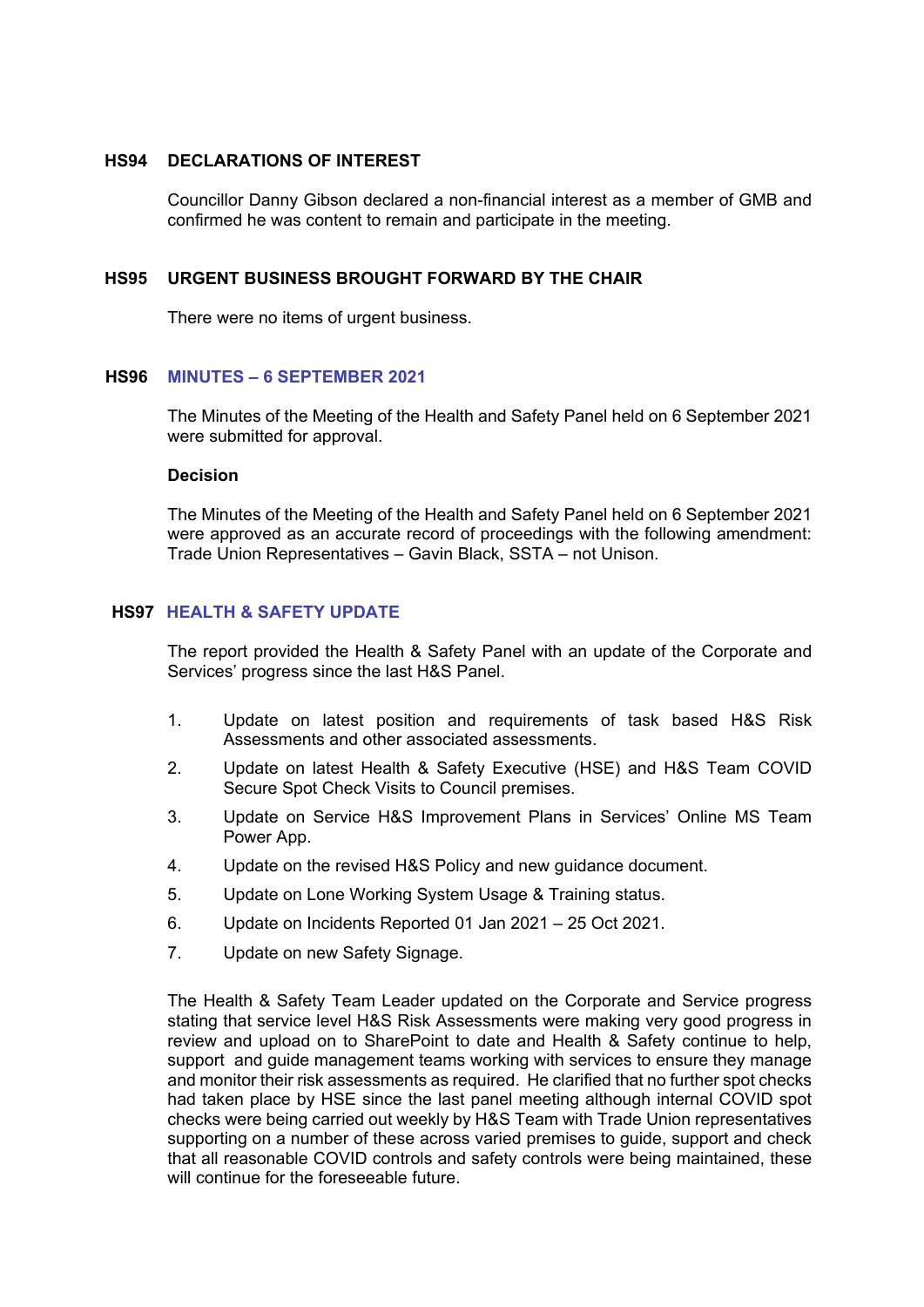#### **HS94 DECLARATIONS OF INTEREST**

Councillor Danny Gibson declared a non-financial interest as a member of GMB and confirmed he was content to remain and participate in the meeting.

#### **HS95 URGENT BUSINESS BROUGHT FORWARD BY THE CHAIR**

There were no items of urgent business.

#### **HS96 MINUTES – 6 SEPTEMBER 2021**

The Minutes of the Meeting of the Health and Safety Panel held on 6 September 2021 were submitted for approval.

#### **Decision**

The Minutes of the Meeting of the Health and Safety Panel held on 6 September 2021 were approved as an accurate record of proceedings with the following amendment: Trade Union Representatives – Gavin Black, SSTA – not Unison.

# **HS97 HEALTH & SAFETY UPDATE**

The report provided the Health & Safety Panel with an update of the Corporate and Services' progress since the last H&S Panel.

- 1. Update on latest position and requirements of task based H&S Risk Assessments and other associated assessments.
- 2. Update on latest Health & Safety Executive (HSE) and H&S Team COVID Secure Spot Check Visits to Council premises.
- 3. Update on Service H&S Improvement Plans in Services' Online MS Team Power App.
- 4. Update on the revised H&S Policy and new guidance document.
- 5. Update on Lone Working System Usage & Training status.
- 6. Update on Incidents Reported 01 Jan 2021 25 Oct 2021.
- 7. Update on new Safety Signage.

The Health & Safety Team Leader updated on the Corporate and Service progress stating that service level H&S Risk Assessments were making very good progress in review and upload on to SharePoint to date and Health & Safety continue to help, support and guide management teams working with services to ensure they manage and monitor their risk assessments as required. He clarified that no further spot checks had taken place by HSE since the last panel meeting although internal COVID spot checks were being carried out weekly by H&S Team with Trade Union representatives supporting on a number of these across varied premises to guide, support and check that all reasonable COVID controls and safety controls were being maintained, these will continue for the foreseeable future.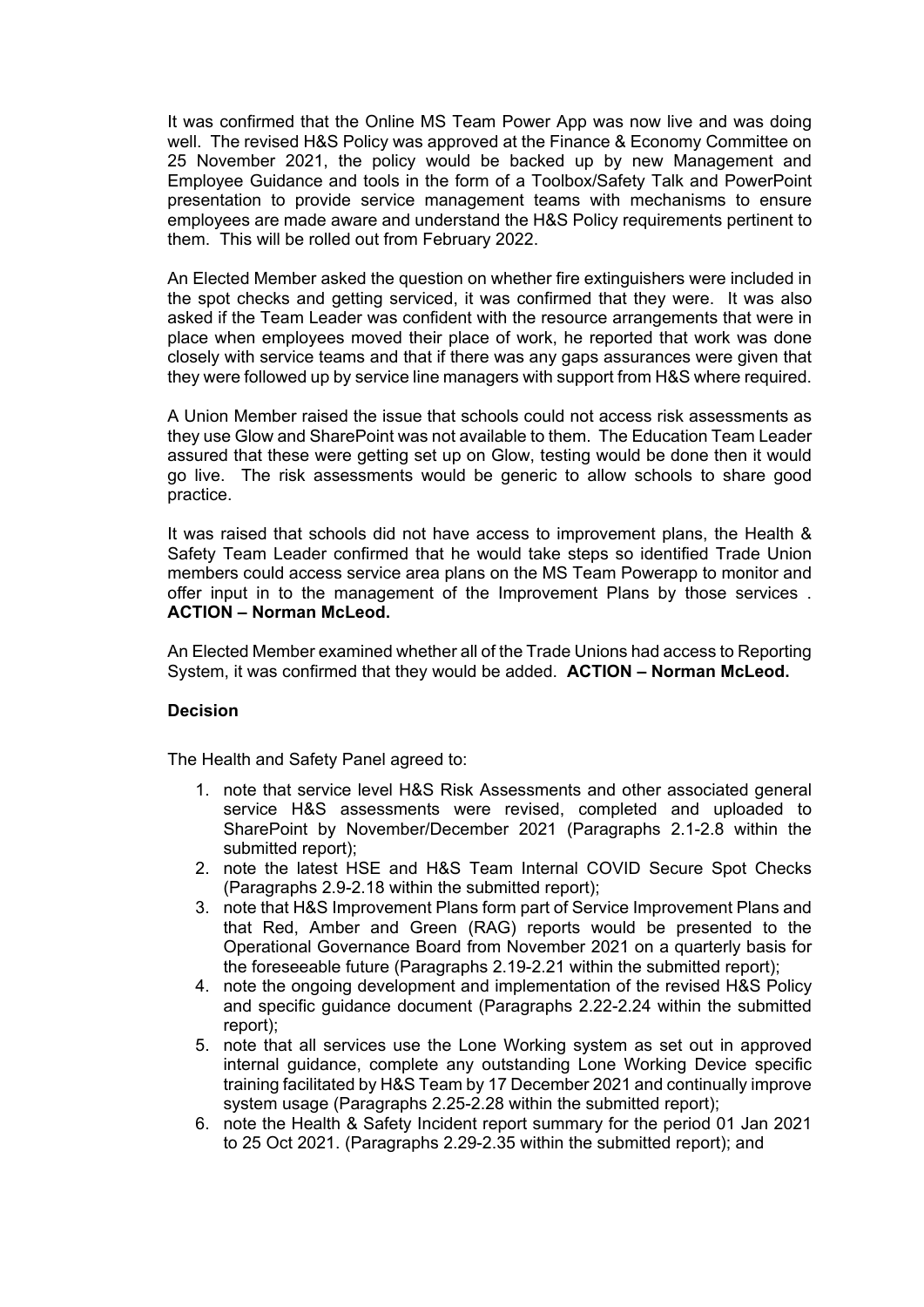It was confirmed that the Online MS Team Power App was now live and was doing well. The revised H&S Policy was approved at the Finance & Economy Committee on 25 November 2021, the policy would be backed up by new Management and Employee Guidance and tools in the form of a Toolbox/Safety Talk and PowerPoint presentation to provide service management teams with mechanisms to ensure employees are made aware and understand the H&S Policy requirements pertinent to them. This will be rolled out from February 2022.

An Elected Member asked the question on whether fire extinguishers were included in the spot checks and getting serviced, it was confirmed that they were. It was also asked if the Team Leader was confident with the resource arrangements that were in place when employees moved their place of work, he reported that work was done closely with service teams and that if there was any gaps assurances were given that they were followed up by service line managers with support from H&S where required.

A Union Member raised the issue that schools could not access risk assessments as they use Glow and SharePoint was not available to them. The Education Team Leader assured that these were getting set up on Glow, testing would be done then it would go live. The risk assessments would be generic to allow schools to share good practice.

It was raised that schools did not have access to improvement plans, the Health & Safety Team Leader confirmed that he would take steps so identified Trade Union members could access service area plans on the MS Team Powerapp to monitor and offer input in to the management of the Improvement Plans by those services . **ACTION – Norman McLeod.** 

An Elected Member examined whether all of the Trade Unions had access to Reporting System, it was confirmed that they would be added. **ACTION – Norman McLeod.**

### **Decision**

The Health and Safety Panel agreed to:

- 1. note that service level H&S Risk Assessments and other associated general service H&S assessments were revised, completed and uploaded to SharePoint by November/December 2021 (Paragraphs 2.1-2.8 within the submitted report);
- 2. note the latest HSE and H&S Team Internal COVID Secure Spot Checks (Paragraphs 2.9-2.18 within the submitted report);
- 3. note that H&S Improvement Plans form part of Service Improvement Plans and that Red, Amber and Green (RAG) reports would be presented to the Operational Governance Board from November 2021 on a quarterly basis for the foreseeable future (Paragraphs 2.19-2.21 within the submitted report);
- 4. note the ongoing development and implementation of the revised H&S Policy and specific guidance document (Paragraphs 2.22-2.24 within the submitted report);
- 5. note that all services use the Lone Working system as set out in approved internal guidance, complete any outstanding Lone Working Device specific training facilitated by H&S Team by 17 December 2021 and continually improve system usage (Paragraphs 2.25-2.28 within the submitted report);
- 6. note the Health & Safety Incident report summary for the period 01 Jan 2021 to 25 Oct 2021. (Paragraphs 2.29-2.35 within the submitted report); and